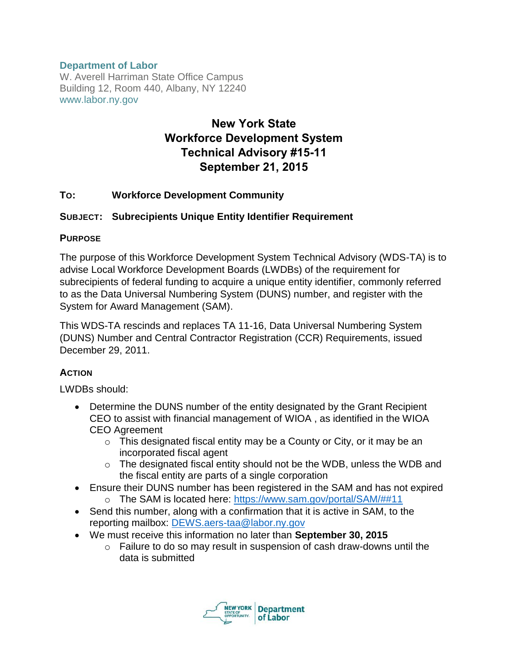## **Department of Labor**

W. Averell Harriman State Office Campus Building 12, Room 440, Albany, NY 12240 www.labor.ny.gov

# **New York State Workforce Development System Technical Advisory #15-11 September 21, 2015**

## **TO: Workforce Development Community**

## **SUBJECT: Subrecipients Unique Entity Identifier Requirement**

#### **PURPOSE**

The purpose of this Workforce Development System Technical Advisory (WDS-TA) is to advise Local Workforce Development Boards (LWDBs) of the requirement for subrecipients of federal funding to acquire a unique entity identifier, commonly referred to as the Data Universal Numbering System (DUNS) number, and register with the System for Award Management (SAM).

This WDS-TA rescinds and replaces TA 11-16, Data Universal Numbering System (DUNS) Number and Central Contractor Registration (CCR) Requirements, issued December 29, 2011.

#### **ACTION**

LWDBs should:

- Determine the DUNS number of the entity designated by the Grant Recipient CEO to assist with financial management of WIOA , as identified in the WIOA CEO Agreement
	- $\circ$  This designated fiscal entity may be a County or City, or it may be an incorporated fiscal agent
	- $\circ$  The designated fiscal entity should not be the WDB, unless the WDB and the fiscal entity are parts of a single corporation
- Ensure their DUNS number has been registered in the SAM and has not expired
	- o The SAM is located here:<https://www.sam.gov/portal/SAM/##11>
- Send this number, along with a confirmation that it is active in SAM, to the reporting mailbox: [DEWS.aers-taa@labor.ny.gov](mailto:DEWS.aers-taa@labor.ny.gov)
- We must receive this information no later than **September 30, 2015**
	- o Failure to do so may result in suspension of cash draw-downs until the data is submitted